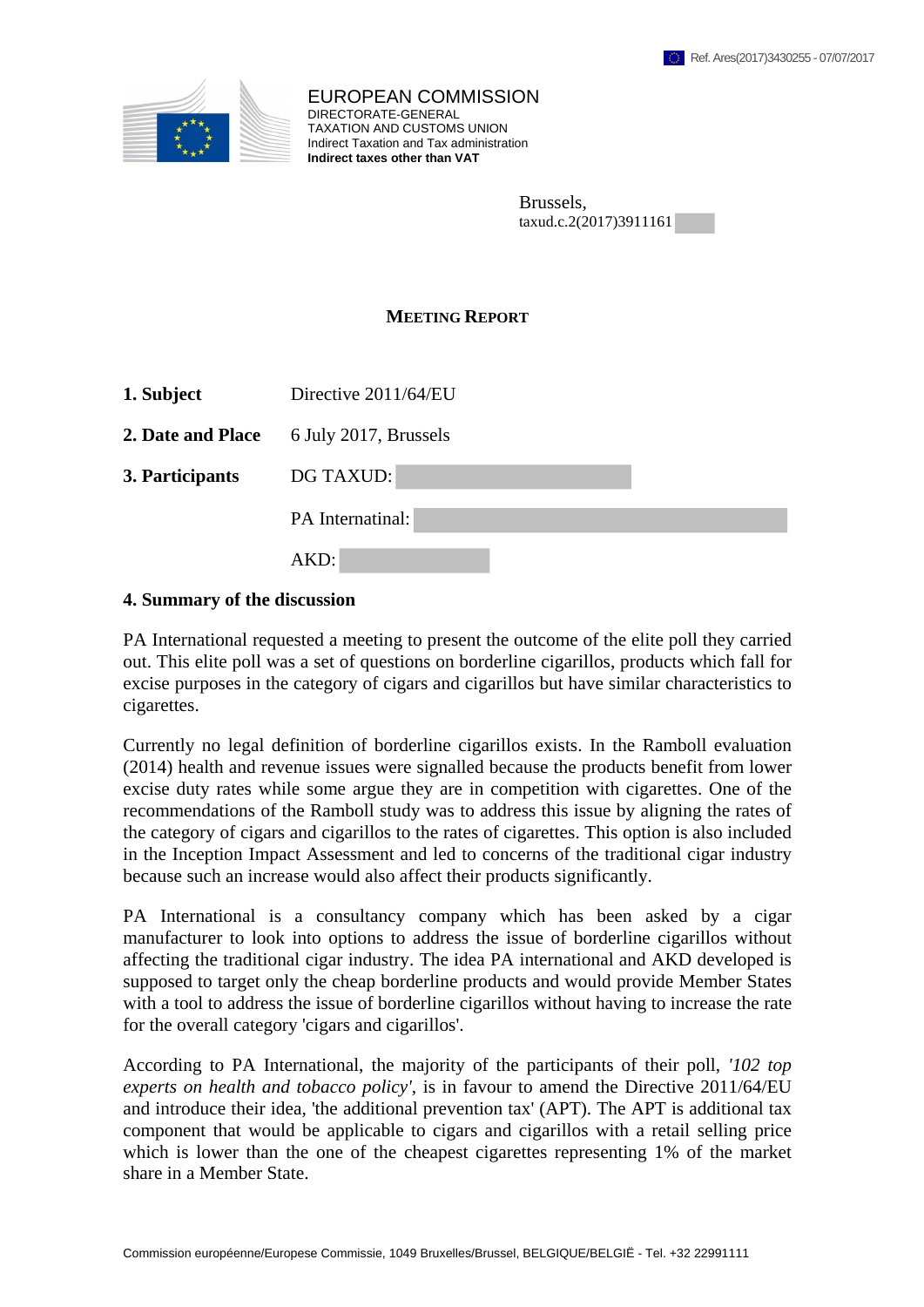

EUROPEAN COMMISSION DIRECTORATE-GENERAL TAXATION AND CUSTOMS UNION Indirect Taxation and Tax administration **Indirect taxes other than VAT**

| Brussels,              |  |
|------------------------|--|
| taxud.c.2(2017)3911161 |  |

## **MEETING REPORT**

| 1. Subject | Directive 2011/64/EU |
|------------|----------------------|
|------------|----------------------|

**2. Date and Place** 6 July 2017, Brussels

**3. Participants** DG TAXUD:

PA Internatinal:

AKD:

## **4. Summary of the discussion**

PA International requested a meeting to present the outcome of the elite poll they carried out. This elite poll was a set of questions on borderline cigarillos, products which fall for excise purposes in the category of cigars and cigarillos but have similar characteristics to cigarettes.

Currently no legal definition of borderline cigarillos exists. In the Ramboll evaluation (2014) health and revenue issues were signalled because the products benefit from lower excise duty rates while some argue they are in competition with cigarettes. One of the recommendations of the Ramboll study was to address this issue by aligning the rates of the category of cigars and cigarillos to the rates of cigarettes. This option is also included in the Inception Impact Assessment and led to concerns of the traditional cigar industry because such an increase would also affect their products significantly.

PA International is a consultancy company which has been asked by a cigar manufacturer to look into options to address the issue of borderline cigarillos without affecting the traditional cigar industry. The idea PA international and AKD developed is supposed to target only the cheap borderline products and would provide Member States with a tool to address the issue of borderline cigarillos without having to increase the rate for the overall category 'cigars and cigarillos'.

According to PA International, the majority of the participants of their poll, *'102 top experts on health and tobacco policy'*, is in favour to amend the Directive 2011/64/EU and introduce their idea, 'the additional prevention tax' (APT). The APT is additional tax component that would be applicable to cigars and cigarillos with a retail selling price which is lower than the one of the cheapest cigarettes representing 1% of the market share in a Member State.